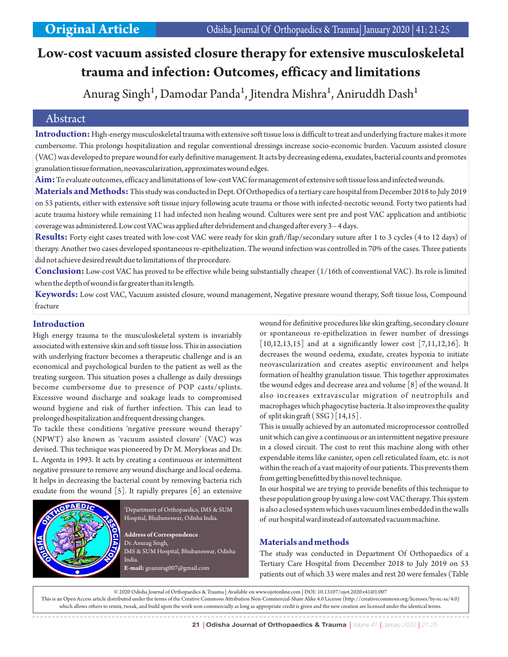# **Low-cost vacuum assisted closure therapy for extensive musculoskeletal trauma and infection: Outcomes, efficacy and limitations**

Anurag Singh<sup>1</sup>, Damodar Panda<sup>1</sup>, Jitendra Mishra<sup>1</sup>, Aniruddh Dash<sup>1</sup>

# Abstract

**Introduction:**High-energy musculoskeletal trauma with extensive soft tissue loss is difficult to treat and underlying fracture makes it more cumbersome. This prolongs hospitalization and regular conventional dressings increase socio-economic burden. Vacuum assisted closure (VAC) was developed to prepare wound for early definitive management. It acts by decreasing edema, exudates, bacterial counts and promotes granulation tissue formation, neovascularization, approximates wound edges.

**Aim:**To evaluate outcomes, efficacy and limitations of low-cost VAC for management of extensive soft tissue loss and infected wounds.

**Materials and Methods:**This study was conducted in Dept. Of Orthopedics of a tertiary care hospital from December 2018 to July 2019 on 53 patients, either with extensive soft tissue injury following acute trauma or those with infected-necrotic wound. Forty two patients had acute trauma history while remaining 11 had infected non healing wound. Cultures were sent pre and post VAC application and antibiotic coverage was administered. Low cost VAC was applied after debridement and changed after every 3 – 4 days.

**Results:** Forty eight cases treated with low-cost VAC were ready for skin graft/flap/secondary suture after 1 to 3 cycles (4 to 12 days) of therapy. Another two cases developed spontaneous re-epithelization. The wound infection was controlled in 70% of the cases. Three patients did not achieve desired result due to limitations of the procedure.

**Conclusion:** Low-cost VAC has proved to be effective while being substantially cheaper (1/16th of conventional VAC). Its role is limited when the depth of wound is far greater than its length.

**Keywords:** Low cost VAC, Vacuum assisted closure, wound management, Negative pressure wound therapy, Soft tissue loss, Compound fracture

# **Introduction**

High energy trauma to the musculoskeletal system is invariably associated with extensive skin and soft tissue loss. This in association with underlying fracture becomes a therapeutic challenge and is an economical and psychological burden to the patient as well as the treating surgeon. This situation poses a challenge as daily dressings become cumbersome due to presence of POP casts/splints. Excessive wound discharge and soakage leads to compromised wound hygiene and risk of further infection. This can lead to prolonged hospitalization and frequent dressing changes.

To tackle these conditions 'negative pressure wound therapy' (NPWT) also known as 'vacuum assisted closure' (VAC) was devised. This technique was pioneered by Dr M. Morykwas and Dr. L. Argenta in 1993. It acts by creating a continuous or intermittent negative pressure to remove any wound discharge and local oedema. It helps in decreasing the bacterial count by removing bacteria rich exudate from the wound [5]. It rapidly prepares [6] an extensive



<sup>1</sup>Department of Orthopaedics, IMS & SUM Hospital, Bhubaneswar, Odisha India.

**Address of Correspondence** Dr. Anurag Singh, IMS & SUM Hospital, Bhubaneswar, Odisha India. **E-mail:** goanurag007@gmail.com

wound for definitive procedures like skin grafting, secondary closure or spontaneous re-epithelization in fewer number of dressings  $\left[10,12,13,15\right]$  and at a significantly lower cost  $\left[7,11,12,16\right]$ . It decreases the wound oedema, exudate, creates hypoxia to initiate neovascularization and creates aseptic environment and helps formation of healthy granulation tissue. This together approximates the wound edges and decrease area and volume [8] of the wound. It also increases extravascular migration of neutrophils and macrophages which phagocytise bacteria. It also improves the quality of split skin graft  $(SSG)$  [14,15].

This is usually achieved by an automated microprocessor controlled unit which can give a continuous or an intermittent negative pressure in a closed circuit. The cost to rent this machine along with other expendable items like canister, open cell reticulated foam, etc. is not within the reach of a vast majority of our patients. This prevents them from getting benefitted by this novel technique.

In our hospital we are trying to provide benefits of this technique to these population group by using a low-cost VAC therapy. This system is also a closed system which uses vacuum lines embedded in the walls of our hospital ward instead of automated vacuum machine.

# **Materials and methods**

The study was conducted in Department Of Orthopaedics of a Tertiary Care Hospital from December 2018 to July 2019 on 53 patients out of which 33 were males and rest 20 were females (Table

© 2020 Odisha Journal of Orthopaedics & Trauma | Available on www.ojotonline.com | DOI: 10.13107/ojot.2020.v41i01.007 This is an Open Access article distributed under the terms of the Creative Commons Attribution Non-Commercial-Share Alike 4.0 License (http://creativecommons.org/licenses/by-nc-sa/4.0) which allows others to remix, tweak, and build upon the work non-commercially as long as appropriate credit is given and the new creation are licensed under the identical terms.

21 | Odisha Journal of Orthopaedics & Trauma | Volume 41 | January 2020 | 21-25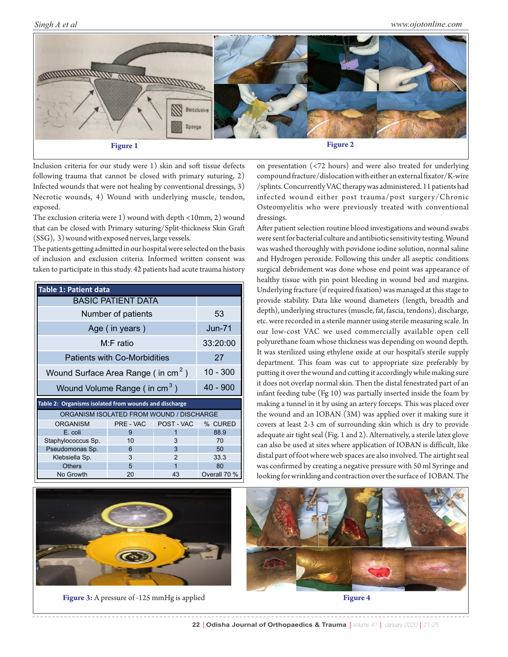*Singh A et al*



Inclusion criteria for our study were 1) skin and soft tissue defects following trauma that cannot be closed with primary suturing, 2) Infected wounds that were not healing by conventional dressings, 3) Necrotic wounds, 4) Wound with underlying muscle, tendon, exposed.

The exclusion criteria were 1) wound with depth <10mm, 2) wound that can be closed with Primary suturing/Split-thickness Skin Graft (SSG), 3) wound with exposed nerves, large vessels.

The patients getting admitted in our hospital were selected on the basis of inclusion and exclusion criteria. Informed written consent was taken to participate in this study. 42 patients had acute trauma history

| <b>Table 1: Patient data</b>                          |            |                |              |  |  |  |
|-------------------------------------------------------|------------|----------------|--------------|--|--|--|
| <b>BASIC PATIENT DATA</b>                             |            |                |              |  |  |  |
| Number of patients                                    | 53         |                |              |  |  |  |
| Age (in years)                                        | $Jun-71$   |                |              |  |  |  |
| M:F ratio                                             | 33:20:00   |                |              |  |  |  |
| <b>Patients with Co-Morbidities</b>                   | 27         |                |              |  |  |  |
| Wound Surface Area Range (in cm <sup>2</sup> )        | $10 - 300$ |                |              |  |  |  |
| Wound Volume Range (in cm <sup>3</sup> )              | $40 - 900$ |                |              |  |  |  |
| Table 2: Organisms isolated from wounds and discharge |            |                |              |  |  |  |
| ORGANISM ISOLATED FROM WOUND / DISCHARGE              |            |                |              |  |  |  |
| <b>ORGANISM</b>                                       | PRE - VAC  | POST - VAC     | % CURED      |  |  |  |
| E. coli                                               | 9          | 1              | 88.9         |  |  |  |
| Staphylococcus Sp.                                    | 10         | 3              | 70           |  |  |  |
| Pseudomonas Sp.                                       | 6          | 3              | 50           |  |  |  |
| Klebsiella Sp.                                        | 3          | $\mathfrak{p}$ | 33.3         |  |  |  |
| <b>Others</b>                                         | 5          | 1              | 80           |  |  |  |
| No Growth                                             | 20         | 43             | Overall 70 % |  |  |  |



**Figure 3:** A pressure of -125 mmHg is applied **Figure 4** 

on presentation (<72 hours) and were also treated for underlying compound fracture/dislocation with either an external fixator/K-wire /splints. Concurrently VAC therapy was administered. 11 patients had infected wound either post trauma/post surgery/Chronic Osteomyelitis who were previously treated with conventional dressings.

After patient selection routine blood investigations and wound swabs were sent for bacterial culture and antibiotic sensitivity testing. Wound was washed thoroughly with povidone iodine solution, normal saline and Hydrogen peroxide. Following this under all aseptic conditions surgical debridement was done whose end point was appearance of healthy tissue with pin point bleeding in wound bed and margins. Underlying fracture (if required fixation) was managed at this stage to provide stability. Data like wound diameters (length, breadth and depth), underlying structures (muscle, fat, fascia, tendons), discharge, etc. were recorded in a sterile manner using sterile measuring scale. In our low-cost VAC we used commercially available open cell polyurethane foam whose thickness was depending on wound depth. It was sterilized using ethylene oxide at our hospital's sterile supply department. This foam was cut to appropriate size preferably by putting it over the wound and cutting it accordingly while making sure it does not overlap normal skin. Then the distal fenestrated part of an infant feeding tube (Fg 10) was partially inserted inside the foam by making a tunnel in it by using an artery forceps. This was placed over the wound and an IOBAN (3M) was applied over it making sure it covers at least 2-3 cm of surrounding skin which is dry to provide adequate air tight seal (Fig. 1 and 2). Alternatively, a sterile latex glove can also be used at sites where application of IOBAN is difficult, like distal part of foot where web spaces are also involved. The airtight seal was confirmed by creating a negative pressure with 50 ml Syringe and looking for wrinkling and contraction over the surface of IOBAN. The

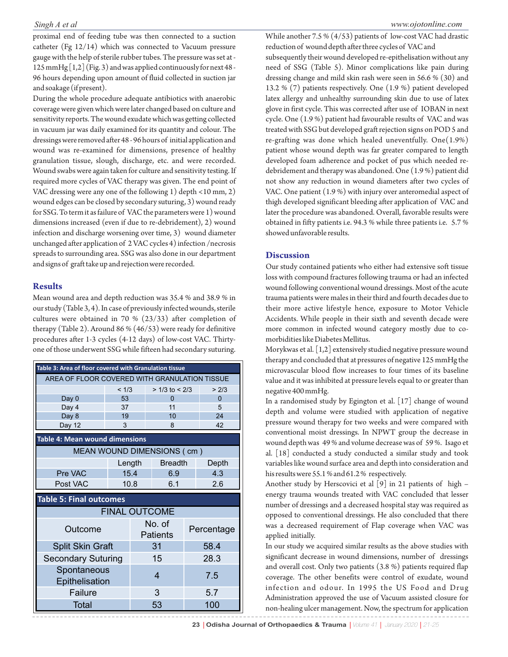proximal end of feeding tube was then connected to a suction catheter (Fg 12/14) which was connected to Vacuum pressure gauge with the help of sterile rubber tubes. The pressure was set at -  $125$  mmHg  $\left[1,2\right]$  (Fig. 3) and was applied continuously for next 48 -96 hours depending upon amount of fluid collected in suction jar and soakage (if present).

During the whole procedure adequate antibiotics with anaerobic coverage were given which were later changed based on culture and sensitivity reports. The wound exudate which was getting collected in vacuum jar was daily examined for its quantity and colour. The dressings were removed after 48 - 96 hours of initial application and wound was re-examined for dimensions, presence of healthy granulation tissue, slough, discharge, etc. and were recorded. Wound swabs were again taken for culture and sensitivity testing. If required more cycles of VAC therapy was given. The end point of VAC dressing were any one of the following 1) depth <10 mm, 2) wound edges can be closed by secondary suturing, 3) wound ready for SSG. To term it as failure of VAC the parameters were 1) wound dimensions increased (even if due to re-debridement), 2) wound infection and discharge worsening over time, 3) wound diameter unchanged after application of 2 VAC cycles 4) infection /necrosis spreads to surrounding area. SSG was also done in our department and signs of graft take up and rejection were recorded.

#### **Results**

Mean wound area and depth reduction was 35.4 % and 38.9 % in our study (Table 3, 4). In case of previously infected wounds, sterile cultures were obtained in 70 % (23/33) after completion of therapy (Table 2). Around 86 % (46/53) were ready for definitive procedures after 1-3 cycles (4-12 days) of low-cost VAC. Thirtyone of those underwent SSG while fifteen had secondary suturing.

| Table 3: Area of floor covered with Granulation tissue |        |                           |                    |            |          |  |  |  |
|--------------------------------------------------------|--------|---------------------------|--------------------|------------|----------|--|--|--|
| AREA OF FLOOR COVERED WITH GRANULATION TISSUE          |        |                           |                    |            |          |  |  |  |
|                                                        | < 1/3  |                           | $> 1/3$ to $< 2/3$ |            | > 2/3    |  |  |  |
| Day <sub>0</sub>                                       | 53     |                           | $\Omega$           |            | $\Omega$ |  |  |  |
| Day 4                                                  | 37     |                           | 11                 |            | 5        |  |  |  |
| Day 8                                                  | 19     |                           | 10                 |            | 24       |  |  |  |
| Day 12                                                 | 3      |                           | 8                  |            | 42       |  |  |  |
| Table 4: Mean wound dimensions                         |        |                           |                    |            |          |  |  |  |
| MEAN WOUND DIMENSIONS ( cm )                           |        |                           |                    |            |          |  |  |  |
|                                                        | Length |                           | <b>Breadth</b>     |            | Depth    |  |  |  |
| Pre VAC                                                | 15.4   |                           | 6.9                |            | 4.3      |  |  |  |
| Post VAC                                               |        | 10.8                      | 6.1                |            | 2.6      |  |  |  |
| <b>Table 5: Final outcomes</b>                         |        |                           |                    |            |          |  |  |  |
| <b>FINAL OUTCOME</b>                                   |        |                           |                    |            |          |  |  |  |
| Outcome                                                |        | No. of<br><b>Patients</b> |                    | Percentage |          |  |  |  |
| <b>Split Skin Graft</b>                                |        | 31                        |                    | 58.4       |          |  |  |  |
| <b>Secondary Suturing</b>                              |        | 15                        |                    | 28.3       |          |  |  |  |
| Spontaneous<br>Epithelisation                          |        | 4                         |                    | 7.5        |          |  |  |  |
| Failure                                                |        |                           | 3                  |            | 5.7      |  |  |  |
| <b>Total</b>                                           |        |                           | 53                 |            | 100      |  |  |  |

While another 7.5 % (4/53) patients of low-cost VAC had drastic reduction of wound depth after three cycles of VAC and subsequently their wound developed re-epithelisation without any need of SSG (Table 5). Minor complications like pain during dressing change and mild skin rash were seen in 56.6 % (30) and 13.2 % (7) patients respectively. One (1.9 %) patient developed latex allergy and unhealthy surrounding skin due to use of latex glove in first cycle. This was corrected after use of IOBAN in next cycle. One (1.9 %) patient had favourable results of VAC and was treated with SSG but developed graft rejection signs on POD 5 and re-grafting was done which healed uneventfully. One $(1.9\%)$ patient whose wound depth was far greater compared to length developed foam adherence and pocket of pus which needed redebridement and therapy was abandoned. One (1.9 %) patient did not show any reduction in wound diameters after two cycles of VAC. One patient (1.9 %) with injury over anteromedial aspect of thigh developed significant bleeding after application of VAC and later the procedure was abandoned. Overall, favorable results were obtained in fifty patients i.e. 94.3 % while three patients i.e. 5.7 % showed unfavorable results.

### **Discussion**

Our study contained patients who either had extensive soft tissue loss with compound fractures following trauma or had an infected wound following conventional wound dressings. Most of the acute trauma patients were males in their third and fourth decades due to their more active lifestyle hence, exposure to Motor Vehicle Accidents. While people in their sixth and seventh decade were more common in infected wound category mostly due to comorbidities like Diabetes Mellitus.

Morykwas et al. [1,2] extensively studied negative pressure wound therapy and concluded that at pressures of negative 125 mmHg the microvascular blood flow increases to four times of its baseline value and it was inhibited at pressure levels equal to or greater than negative 400 mmHg.

In a randomised study by Egington et al. [17] change of wound depth and volume were studied with application of negative pressure wound therapy for two weeks and were compared with conventional moist dressings. In NPWT group the decrease in wound depth was 49 % and volume decrease was of 59 %. Isago et al. [18] conducted a study conducted a similar study and took variables like wound surface area and depth into consideration and his results were 55.1 % and 61.2 % respectively.

Another study by Herscovici et al [9] in 21 patients of high – energy trauma wounds treated with VAC concluded that lesser number of dressings and a decreased hospital stay was required as opposed to conventional dressings. He also concluded that there was a decreased requirement of Flap coverage when VAC was applied initially.

In our study we acquired similar results as the above studies with significant decrease in wound dimensions, number of dressings and overall cost. Only two patients (3.8 %) patients required flap coverage. The other benefits were control of exudate, wound infection and odour. In 1995 the US Food and Drug Administration approved the use of Vacuum assisted closure for non-healing ulcer management. Now, the spectrum for application

**23** | **Odisha Journal of Orthopaedics & Trauma** | Volume 41 | January 2020 | 21-25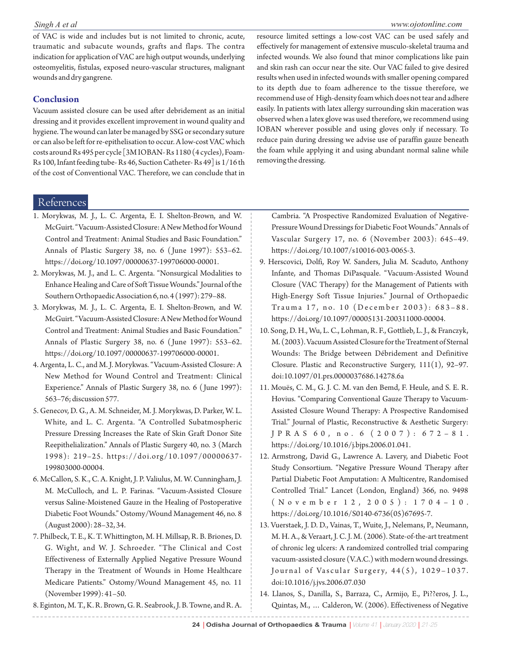#### *Singh A et al*

#### *www.ojotonline.com*

of VAC is wide and includes but is not limited to chronic, acute, traumatic and subacute wounds, grafts and flaps. The contra indication for application of VAC are high output wounds, underlying osteomyelitis, fistulas, exposed neuro-vascular structures, malignant wounds and dry gangrene.

## **Conclusion**

Vacuum assisted closure can be used after debridement as an initial dressing and it provides excellent improvement in wound quality and hygiene. The wound can later be managed by SSG or secondary suture or can also be left for re-epithelisation to occur. A low-cost VAC which costs around Rs 495 per cycle [3M IOBAN- Rs 1180 (4 cycles), Foam-Rs 100, Infant feeding tube- Rs 46, Suction Catheter- Rs 49] is 1/16 th of the cost of Conventional VAC. Therefore, we can conclude that in resource limited settings a low-cost VAC can be used safely and effectively for management of extensive musculo-skeletal trauma and infected wounds. We also found that minor complications like pain and skin rash can occur near the site. Our VAC failed to give desired results when used in infected wounds with smaller opening compared to its depth due to foam adherence to the tissue therefore, we recommend use of High-density foam which does not tear and adhere easily. In patients with latex allergy surrounding skin maceration was observed when a latex glove was used therefore, we recommend using IOBAN wherever possible and using gloves only if necessary. To reduce pain during dressing we advise use of paraffin gauze beneath the foam while applying it and using abundant normal saline while removing the dressing.

# References

- 1. Morykwas, M. J., L. C. Argenta, E. I. Shelton-Brown, and W. McGuirt. "Vacuum-Assisted Closure: A New Method for Wound Control and Treatment: Animal Studies and Basic Foundation." Annals of Plastic Surgery 38, no. 6 ( June 1997): 553–62. https://doi.org/10.1097/00000637-199706000-00001.
- 2. Morykwas, M. J., and L. C. Argenta. "Nonsurgical Modalities to Enhance Healing and Care of Soft Tissue Wounds." Journal of the Southern Orthopaedic Association 6, no. 4 (1997): 279–88.
- 3. Morykwas, M. J., L. C. Argenta, E. I. Shelton-Brown, and W. McGuirt. "Vacuum-Assisted Closure: A New Method for Wound Control and Treatment: Animal Studies and Basic Foundation." Annals of Plastic Surgery 38, no. 6 ( June 1997): 553–62. https://doi.org/10.1097/00000637-199706000-00001.
- 4. Argenta, L. C., and M. J. Morykwas. "Vacuum-Assisted Closure: A New Method for Wound Control and Treatment: Clinical Experience." Annals of Plastic Surgery 38, no. 6 ( June 1997): 563–76; discussion 577.
- 5. Genecov, D. G., A. M. Schneider, M. J. Morykwas, D. Parker, W. L. White, and L. C. Argenta. "A Controlled Subatmospheric Pressure Dressing Increases the Rate of Skin Graft Donor Site Reepithelialization." Annals of Plastic Surgery 40, no. 3 (March 1998): 219–25. https://doi.org/10.1097/00000637- 199803000-00004.
- 6. McCallon, S. K., C. A. Knight, J. P. Valiulus, M. W. Cunningham, J. M. McCulloch, and L. P. Farinas. "Vacuum-Assisted Closure versus Saline-Moistened Gauze in the Healing of Postoperative Diabetic Foot Wounds." Ostomy/Wound Management 46, no. 8 (August 2000): 28–32, 34.
- 7. Philbeck, T. E., K. T. Whittington, M. H. Millsap, R. B. Briones, D. G. Wight, and W. J. Schroeder. "The Clinical and Cost Effectiveness of Externally Applied Negative Pressure Wound Therapy in the Treatment of Wounds in Home Healthcare Medicare Patients." Ostomy/Wound Management 45, no. 11 (November 1999): 41–50.
- 8. Eginton, M. T., K. R. Brown, G. R. Seabrook, J. B. Towne, and R. A.

Cambria. "A Prospective Randomized Evaluation of Negative-Pressure Wound Dressings for Diabetic Foot Wounds." Annals of Vascular Surgery 17, no. 6 (November 2003): 645–49. https://doi.org/10.1007/s10016-003-0065-3.

- 9. Herscovici, Dolfi, Roy W. Sanders, Julia M. Scaduto, Anthony Infante, and Thomas DiPasquale. "Vacuum-Assisted Wound Closure (VAC Therapy) for the Management of Patients with High-Energy Soft Tissue Injuries." Journal of Orthopaedic Trauma 17, no. 10 (December 2003): 683-88. https://doi.org/10.1097/00005131-200311000-00004.
- 10. Song, D. H., Wu, L. C., Lohman, R. F., Gottlieb, L. J., & Franczyk, M. (2003). Vacuum Assisted Closure for the Treatment of Sternal Wounds: The Bridge between Débridement and Definitive Closure. Plastic and Reconstructive Surgery, 111(1), 92–97. doi:10.1097/01.prs.0000037686.14278.6a
- 11. Mouës, C. M., G. J. C. M. van den Bemd, F. Heule, and S. E. R. Hovius. "Comparing Conventional Gauze Therapy to Vacuum-Assisted Closure Wound Therapy: A Prospective Randomised Trial." Journal of Plastic, Reconstructive & Aesthetic Surgery: J P R A S 6 0 , n o . 6 ( 2 0 0 7 ) : 6 7 2 – 8 1 . https://doi.org/10.1016/j.bjps.2006.01.041.
- 12. Armstrong, David G., Lawrence A. Lavery, and Diabetic Foot Study Consortium. "Negative Pressure Wound Therapy after Partial Diabetic Foot Amputation: A Multicentre, Randomised Controlled Trial." Lancet (London, England) 366, no. 9498 ( N o v e m b e r 1 2 , 2 0 0 5 ) : 1 7 0 4 – 1 0 . https://doi.org/10.1016/S0140-6736(05)67695-7.
- 13. Vuerstaek, J. D. D., Vainas, T., Wuite, J., Nelemans, P., Neumann, M. H. A., & Veraart, J. C. J. M. (2006). State-of-the-art treatment of chronic leg ulcers: A randomized controlled trial comparing vacuum-assisted closure (V.A.C.) with modern wound dressings. Journal of Vascular Surgery,  $44(5)$ , 1029-1037. doi:10.1016/j.jvs.2006.07.030
- 14. Llanos, S., Danilla, S., Barraza, C., Armijo, E., Pi??eros, J. L., Quintas, M., … Calderon, W. (2006). Effectiveness of Negative